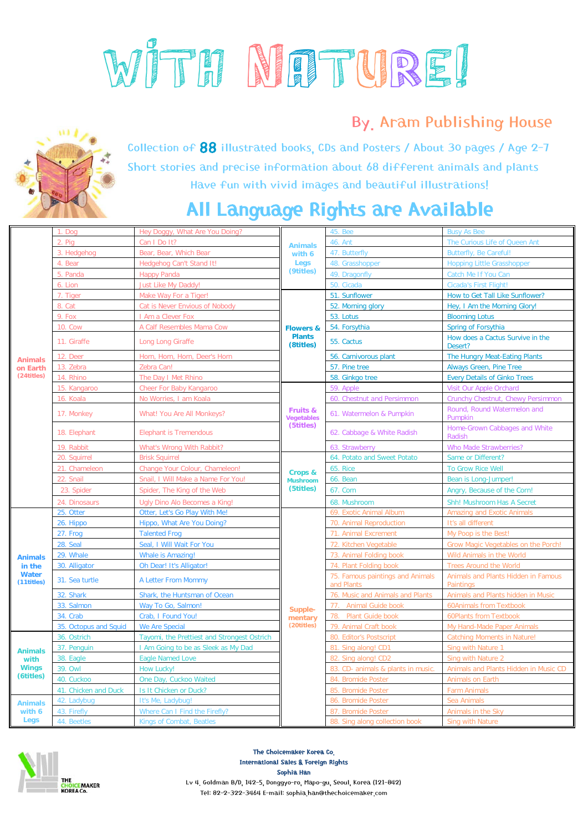

## By. Aram Publishing House



Collection of 88 illustrated books, CDs and Posters / About 30 pages / Age 2-7 Short stories and precise information about 68 different animals and plants Have fun with vivid images and beautiful illustrations!

## All Language Rights are Available

| <b>Animals</b><br>on Earth<br>(24titles)               | Doo                   | Hey Doggy, What Are You Doing?              | <b>Animals</b><br>with 6<br>Legs<br>(9titles)      | <b>45. Bee</b>                                 | <b>Busy As Bee</b>                                      |
|--------------------------------------------------------|-----------------------|---------------------------------------------|----------------------------------------------------|------------------------------------------------|---------------------------------------------------------|
|                                                        | 2. Pig                | Can I Do It?                                |                                                    | 46. Ant                                        | The Curious Life of Queen Ant                           |
|                                                        | 3. Hedgehog           | Bear, Bear, Which Bear                      |                                                    | 47. Butterfly                                  | <b>Butterfly, Be Careful!</b>                           |
|                                                        | 4. Bear               | Hedgehog Can't Stand It!                    |                                                    | 48. Grasshopper                                | <b>Hopping Little Grasshopper</b>                       |
|                                                        | 5. Panda              | <b>Happy Panda</b>                          |                                                    | 49. Dragonfly                                  | Catch Me If You Can                                     |
|                                                        | 6. Lion               | <b>Just Like My Daddy!</b>                  |                                                    | 50. Cicada                                     | Cicada's First Flight!                                  |
|                                                        | 7. Tiger              | Make Way For a Tiger!                       | <b>Flowers &amp;</b><br><b>Plants</b><br>(8titles) | 51. Sunflower                                  | How to Get Tall Like Sunflower?                         |
|                                                        | 8. Cat                | Cat is Never Envious of Nobody              |                                                    | 52. Morning glory                              | Hey, I Am the Morning Glory!                            |
|                                                        | 9. Fox                | I Am a Clever Fox                           |                                                    | 53. Lotus                                      | <b>Blooming Lotus</b>                                   |
|                                                        | <b>10. Cow</b>        | A Calf Resembles Mama Cow                   |                                                    | 54. Forsythia                                  | Spring of Forsythia                                     |
|                                                        | 11. Giraffe           | Long Long Giraffe                           |                                                    | 55. Cactus                                     | How does a Cactus Survive in the<br>Desert?             |
|                                                        | 12. Deer              | Horn, Horn, Horn, Deer's Horn               |                                                    | 56. Carnivorous plant                          | The Hungry Meat-Eating Plants                           |
|                                                        | 13. Zebra             | Zebra Can!                                  |                                                    | 57. Pine tree                                  | <b>Always Green, Pine Tree</b>                          |
|                                                        | 14. Rhino             | The Day I Met Rhino                         |                                                    | 58. Ginkgo tree                                | <b>Every Details of Ginko Trees</b>                     |
|                                                        | 15. Kangaroo          | Cheer For Baby Kangaroo                     | Fruits &<br>Vegetables<br>(5titles)                | 59. Apple                                      | Visit Our Apple Orchard                                 |
|                                                        | 16. Koala             | No Worries, I am Koala                      |                                                    | 60. Chestnut and Persimmon                     | Crunchy Chestnut, Chewy Persimmon                       |
|                                                        | 17. Monkey            | What! You Are All Monkeys?                  |                                                    | 61. Watermelon & Pumpkin                       | Round, Round Watermelon and<br>Pumpkin                  |
|                                                        | 18. Elephant          | <b>Elephant is Tremendous</b>               |                                                    | 62. Cabbage & White Radish                     | Home-Grown Cabbages and White<br>Radish                 |
|                                                        | 19. Rabbit            | What's Wrong With Rabbit?                   |                                                    | 63. Strawberry                                 | <b>Who Made Strawberries?</b>                           |
|                                                        | 20. Sauirrel          | <b>Brisk Squirrel</b>                       | Crops &<br><b>Mushroom</b><br>(5titles)            | 64. Potato and Sweet Potato                    | Same or Different?                                      |
|                                                        | 21. Chameleon         | Change Your Colour, Chameleon!              |                                                    | <b>65. Rice</b>                                | <b>To Grow Rice Well</b>                                |
|                                                        | 22. Snail             | Snail, I Will Make a Name For You!          |                                                    | 66. Bean                                       | Bean is Long-Jumper!                                    |
|                                                        | 23. Spider            | Spider, The King of the Web                 |                                                    | 67. Corn                                       | Angry, Because of the Corn!                             |
|                                                        | 24. Dinosaurs         | Ugly Dino Alo Becomes a King!               |                                                    | 68. Mushroom                                   | Shh! Mushroom Has A Secret                              |
| <b>Animals</b><br>in the<br><b>Water</b><br>(11titles) | 25. Otter             | Otter, Let's Go Play With Me!               | Supple-<br>mentary<br>(20titles)                   | 69. Exotic Animal Album                        | <b>Amazing and Exotic Animals</b>                       |
|                                                        | 26. Hippo             | Hippo, What Are You Doing?                  |                                                    | 70. Animal Reproduction                        | It's all different                                      |
|                                                        | 27. Frog              | <b>Talented Frog</b>                        |                                                    | <b>Animal Excrement</b><br>71                  | My Poop is the Best!                                    |
|                                                        | 28. Seal              | Seal, I Will Wait For You                   |                                                    | 72. Kitchen Vegetable                          | Grow Magic Vegetables on the Porch!                     |
|                                                        | 29. Whale             | <b>Whale is Amazing!</b>                    |                                                    | 73. Animal Folding book                        | Wild Animals in the World                               |
|                                                        | 30. Alligator         | Oh Dear! It's Alligator!                    |                                                    | 74. Plant Folding book                         | <b>Trees Around the World</b>                           |
|                                                        | 31. Sea turtle        | A Letter From Mommy                         |                                                    | 75. Famous paintings and Animals<br>and Plants | Animals and Plants Hidden in Famous<br><b>Paintings</b> |
|                                                        | 32. Shark             | Shark, the Huntsman of Ocean                |                                                    | 76. Music and Animals and Plants               | Animals and Plants hidden in Music                      |
|                                                        | 33. Salmon            | Way To Go, Salmon!                          |                                                    | Animal Guide book<br>77.                       | <b>60Animals from Textbook</b>                          |
|                                                        | 34. Crab              | Crab, I Found You!                          |                                                    | 78. Plant Guide book                           | <b>60Plants from Textbook</b>                           |
|                                                        | 35. Octopus and Squid | <b>We Are Special</b>                       |                                                    | 79. Animal Craft book                          | My Hand-Made Paper Animals                              |
| <b>Animals</b><br>with<br><b>Wings</b><br>(6titles)    | 36. Ostrich           | Tayomi, the Prettiest and Strongest Ostrich |                                                    | 80. Editor's Postscript                        | <b>Catching Moments in Nature!</b>                      |
|                                                        | 37. Penguin           | I Am Going to be as Sleek as My Dad         |                                                    | 81. Sing along! CD1                            | Sing with Nature 1                                      |
|                                                        | 38. Eagle             | <b>Eagle Named Love</b>                     |                                                    | 82. Sing along! CD2                            | Sing with Nature 2                                      |
|                                                        | 39. Owl               | How Lucky!                                  |                                                    | 83. CD- animals & plants in music              | Animals and Plants Hidden in Music CD                   |
|                                                        | 40. Cuckoo            | One Day, Cuckoo Waited                      |                                                    | 84. Bromide Poster                             | Animals on Earth                                        |
|                                                        | 41. Chicken and Duck  | Is It Chicken or Duck?                      |                                                    | 85. Bromide Poster                             | <b>Farm Animals</b>                                     |
| <b>Animals</b><br>with 6                               | 42. Ladybug           | It's Me, Ladybug!                           |                                                    | 86. Bromide Poster                             | Sea Animals                                             |
|                                                        | 43. Firefly           | Where Can I Find the Firefly?               |                                                    | 87. Bromide Poster                             | Animals in the Sky                                      |
| Legs                                                   | 44. Beetles           | Kings of Combat, Beatles                    |                                                    | 88. Sing along collection book                 | Sing with Nature                                        |



The Choicemaker Korea Co. International Sales & Foreign Rights Sophia Han Lv 4. Goldman B/D, 142-5, Donggyo-ro, Mapo-gu, Seoul, Korea (121-842) Tel: 82-2-322-3464 E-mail: sophia.han@thechoicemaker.com